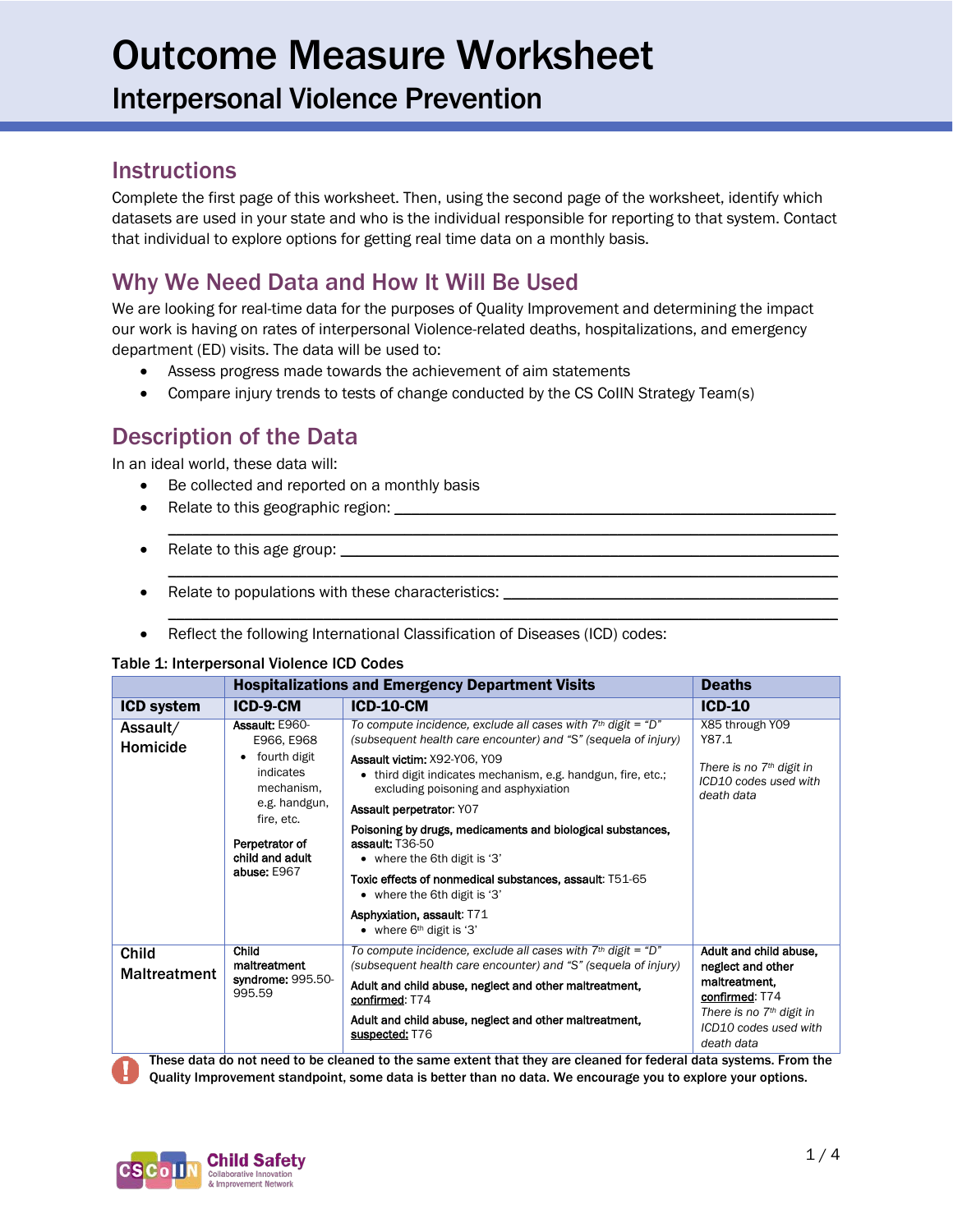### Interpersonal Violence Prevention

#### **Instructions**

Complete the first page of this worksheet. Then, using the second page of the worksheet, identify which datasets are used in your state and who is the individual responsible for reporting to that system. Contact that individual to explore options for getting real time data on a monthly basis.

### Why We Need Data and How It Will Be Used

We are looking for real-time data for the purposes of Quality Improvement and determining the impact our work is having on rates of interpersonal Violence-related deaths, hospitalizations, and emergency department (ED) visits. The data will be used to:

 $\mathcal{L}_\mathcal{L} = \{ \mathcal{L}_\mathcal{L} = \{ \mathcal{L}_\mathcal{L} = \{ \mathcal{L}_\mathcal{L} = \{ \mathcal{L}_\mathcal{L} = \{ \mathcal{L}_\mathcal{L} = \{ \mathcal{L}_\mathcal{L} = \{ \mathcal{L}_\mathcal{L} = \{ \mathcal{L}_\mathcal{L} = \{ \mathcal{L}_\mathcal{L} = \{ \mathcal{L}_\mathcal{L} = \{ \mathcal{L}_\mathcal{L} = \{ \mathcal{L}_\mathcal{L} = \{ \mathcal{L}_\mathcal{L} = \{ \mathcal{L}_\mathcal{$ 

\_\_\_\_\_\_\_\_\_\_\_\_\_\_\_\_\_\_\_\_\_\_\_\_\_\_\_\_\_\_\_\_\_\_\_\_\_\_\_\_\_\_\_\_\_\_\_\_\_\_\_\_\_\_\_\_\_\_\_\_\_\_\_\_\_\_\_\_\_\_\_\_\_\_\_\_\_\_\_\_\_\_

\_\_\_\_\_\_\_\_\_\_\_\_\_\_\_\_\_\_\_\_\_\_\_\_\_\_\_\_\_\_\_\_\_\_\_\_\_\_\_\_\_\_\_\_\_\_\_\_\_\_\_\_\_\_\_\_\_\_\_\_\_\_\_\_\_\_\_\_\_\_\_\_\_\_\_\_\_\_\_\_\_\_

- Assess progress made towards the achievement of aim statements
- Compare injury trends to tests of change conducted by the CS CoIIN Strategy Team(s)

### Description of the Data

In an ideal world, these data will:

- Be collected and reported on a monthly basis
- Relate to this geographic region:
- Relate to this age group:  $\Box$
- Relate to populations with these characteristics:
- Reflect the following International Classification of Diseases (ICD) codes:

#### Table 1: Interpersonal Violence ICD Codes

|                                     | <b>Hospitalizations and Emergency Department Visits</b>                                                                                                         | <b>Deaths</b>                                                                                                                                                                                |                                                                   |
|-------------------------------------|-----------------------------------------------------------------------------------------------------------------------------------------------------------------|----------------------------------------------------------------------------------------------------------------------------------------------------------------------------------------------|-------------------------------------------------------------------|
| <b>ICD system</b>                   | ICD-9-CM                                                                                                                                                        | <b>ICD-10-CM</b>                                                                                                                                                                             | $ICD-10$                                                          |
| Assault/<br>Homicide                | Assault: E960-<br>E966, E968<br>fourth digit<br>٠<br>indicates<br>mechanism.<br>e.g. handgun,<br>fire, etc.<br>Perpetrator of<br>child and adult<br>abuse: E967 | To compute incidence, exclude all cases with $7th$ digit = "D"<br>(subsequent health care encounter) and "S" (sequela of injury)                                                             | X85 through Y09<br>Y87.1                                          |
|                                     |                                                                                                                                                                 | Assault victim: X92-Y06, Y09<br>• third digit indicates mechanism, e.g. handgun, fire, etc.;<br>excluding poisoning and asphyxiation                                                         | There is no $7th$ digit in<br>ICD10 codes used with<br>death data |
|                                     |                                                                                                                                                                 | Assault perpetrator: Y07                                                                                                                                                                     |                                                                   |
|                                     |                                                                                                                                                                 | Poisoning by drugs, medicaments and biological substances,<br>assault: T36-50<br>• where the 6th digit is '3'                                                                                |                                                                   |
|                                     |                                                                                                                                                                 | Toxic effects of nonmedical substances, assault: T51-65<br>• where the 6th digit is '3'                                                                                                      |                                                                   |
|                                     |                                                                                                                                                                 | Asphyxiation, assault: T71<br>• where $6th$ digit is '3'                                                                                                                                     |                                                                   |
| <b>Child</b><br><b>Maltreatment</b> | Child<br>maltreatment<br>syndrome: 995.50-<br>995.59                                                                                                            | To compute incidence, exclude all cases with $7th$ digit = "D"<br>(subsequent health care encounter) and "S" (sequela of injury)                                                             | Adult and child abuse,<br>neglect and other                       |
|                                     |                                                                                                                                                                 | Adult and child abuse, neglect and other maltreatment,<br>confirmed: T74                                                                                                                     | maltreatment,<br>confirmed: T74                                   |
|                                     |                                                                                                                                                                 | Adult and child abuse, neglect and other maltreatment,<br>suspected: T76<br>Those data de net need to he elecned to the come evtent that they are elecned for federal data systems. Erem the | There is no $7th$ digit in<br>ICD10 codes used with<br>death data |

These data do not need to be cleaned to the same extent that they are cleaned for federal data systems. From the Quality Improvement standpoint, some data is better than no data. We encourage you to explore your options.

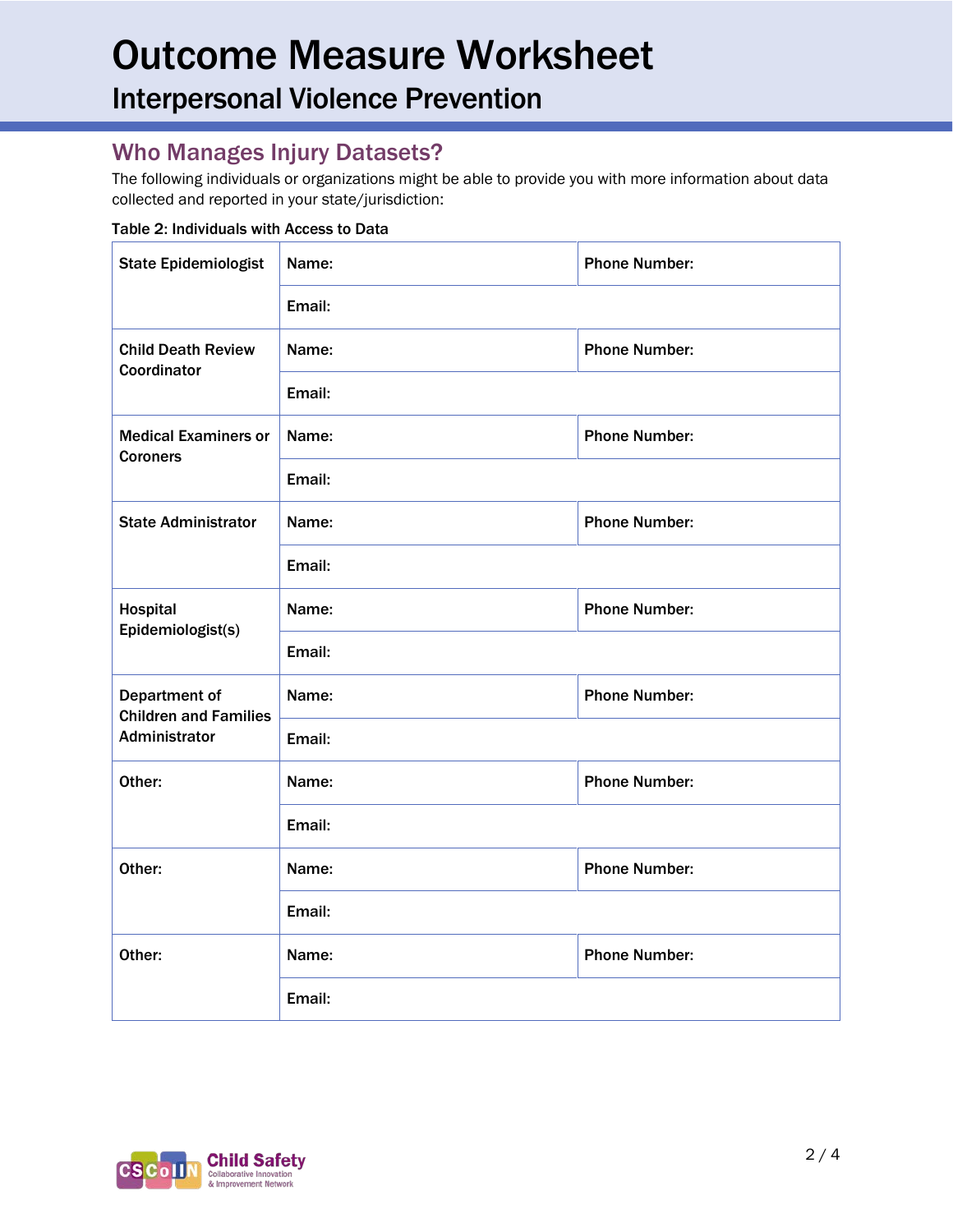Interpersonal Violence Prevention

### Who Manages Injury Datasets?

The following individuals or organizations might be able to provide you with more information about data collected and reported in your state/jurisdiction:

#### Table 2: Individuals with Access to Data

| <b>State Epidemiologist</b>                                    | Name:  | <b>Phone Number:</b> |  |  |
|----------------------------------------------------------------|--------|----------------------|--|--|
|                                                                | Email: |                      |  |  |
| <b>Child Death Review</b><br>Coordinator                       | Name:  | <b>Phone Number:</b> |  |  |
|                                                                | Email: |                      |  |  |
| <b>Medical Examiners or</b><br><b>Coroners</b>                 | Name:  | <b>Phone Number:</b> |  |  |
|                                                                | Email: |                      |  |  |
| <b>State Administrator</b>                                     | Name:  | <b>Phone Number:</b> |  |  |
|                                                                | Email: |                      |  |  |
| Hospital<br>Epidemiologist(s)                                  | Name:  | <b>Phone Number:</b> |  |  |
|                                                                | Email: |                      |  |  |
| Department of<br><b>Children and Families</b><br>Administrator | Name:  | <b>Phone Number:</b> |  |  |
|                                                                | Email: |                      |  |  |
| Other:                                                         | Name:  | <b>Phone Number:</b> |  |  |
|                                                                | Email: |                      |  |  |
| Other:                                                         | Name:  | <b>Phone Number:</b> |  |  |
|                                                                | Email: |                      |  |  |
| Other:                                                         | Name:  | <b>Phone Number:</b> |  |  |
|                                                                | Email: |                      |  |  |

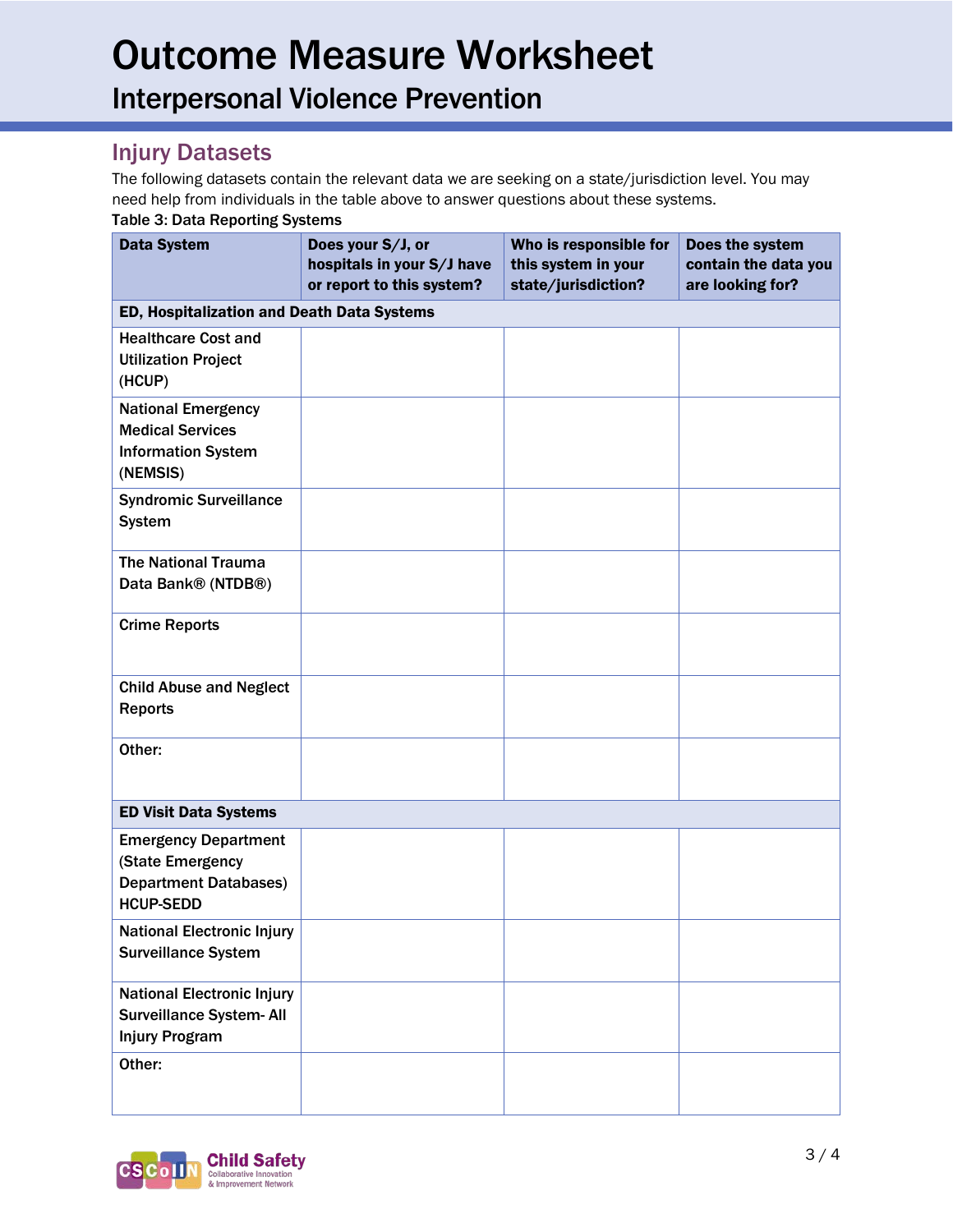Interpersonal Violence Prevention

#### Injury Datasets

The following datasets contain the relevant data we are seeking on a state/jurisdiction level. You may need help from individuals in the table above to answer questions about these systems. Table 3: Data Reporting Systems

| <b>Data System</b>                                                                                  | Does your S/J, or<br>hospitals in your S/J have<br>or report to this system? | Who is responsible for<br>this system in your<br>state/jurisdiction? | Does the system<br>contain the data you<br>are looking for? |
|-----------------------------------------------------------------------------------------------------|------------------------------------------------------------------------------|----------------------------------------------------------------------|-------------------------------------------------------------|
| ED, Hospitalization and Death Data Systems                                                          |                                                                              |                                                                      |                                                             |
| <b>Healthcare Cost and</b><br><b>Utilization Project</b><br>(HCUP)                                  |                                                                              |                                                                      |                                                             |
| <b>National Emergency</b><br><b>Medical Services</b><br><b>Information System</b><br>(NEMSIS)       |                                                                              |                                                                      |                                                             |
| <b>Syndromic Surveillance</b><br><b>System</b>                                                      |                                                                              |                                                                      |                                                             |
| <b>The National Trauma</b><br>Data Bank® (NTDB®)                                                    |                                                                              |                                                                      |                                                             |
| <b>Crime Reports</b>                                                                                |                                                                              |                                                                      |                                                             |
| <b>Child Abuse and Neglect</b><br><b>Reports</b>                                                    |                                                                              |                                                                      |                                                             |
| Other:                                                                                              |                                                                              |                                                                      |                                                             |
| <b>ED Visit Data Systems</b>                                                                        |                                                                              |                                                                      |                                                             |
| <b>Emergency Department</b><br>(State Emergency<br><b>Department Databases)</b><br><b>HCUP-SEDD</b> |                                                                              |                                                                      |                                                             |
| <b>National Electronic Injury</b><br><b>Surveillance System</b>                                     |                                                                              |                                                                      |                                                             |
| <b>National Electronic Injury</b><br>Surveillance System- All<br><b>Injury Program</b>              |                                                                              |                                                                      |                                                             |
| Other:                                                                                              |                                                                              |                                                                      |                                                             |